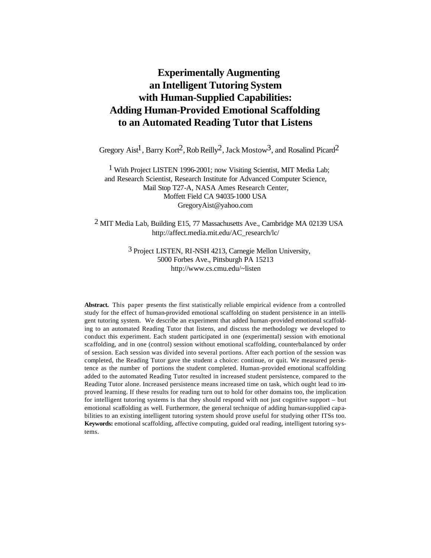# **Experimentally Augmenting an Intelligent Tutoring System with Human-Supplied Capabilities: Adding Human-Provided Emotional Scaffolding to an Automated Reading Tutor that Listens**

Gregory Aist<sup>1</sup>, Barry Kort<sup>2</sup>, Rob Reilly<sup>2</sup>, Jack Mostow<sup>3</sup>, and Rosalind Picard<sup>2</sup>

<sup>1</sup> With Project LISTEN 1996-2001; now Visiting Scientist, MIT Media Lab; and Research Scientist, Research Institute for Advanced Computer Science, Mail Stop T27-A, NASA Ames Research Center, Moffett Field CA 94035-1000 USA GregoryAist@yahoo.com

2 MIT Media Lab, Building E15, 77 Massachusetts Ave., Cambridge MA 02139 USA http://affect.media.mit.edu/AC\_research/lc/

> 3 Project LISTEN, RI-NSH 4213, Carnegie Mellon University, 5000 Forbes Ave., Pittsburgh PA 15213 http://www.cs.cmu.edu/~listen

**Abstract.** This paper presents the first statistically reliable empirical evidence from a controlled study for the effect of human-provided emotional scaffolding on student persistence in an intelligent tutoring system. We describe an experiment that added human-provided emotional scaffolding to an automated Reading Tutor that listens, and discuss the methodology we developed to conduct this experiment. Each student participated in one (experimental) session with emotional scaffolding, and in one (control) session without emotional scaffolding, counterbalanced by order of session. Each session was divided into several portions. After each portion of the session was completed, the Reading Tutor gave the student a choice: continue, or quit. We measured persistence as the number of portions the student completed. Human-provided emotional scaffolding added to the automated Reading Tutor resulted in increased student persistence, compared to the Reading Tutor alone. Increased persistence means increased time on task, which ought lead to improved learning. If these results for reading turn out to hold for other domains too, the implication for intelligent tutoring systems is that they should respond with not just cognitive support – but emotional scaffolding as well. Furthermore, the general technique of adding human-supplied capabilities to an existing intelligent tutoring system should prove useful for studying other ITSs too. **Keywords:** emotional scaffolding, affective computing, guided oral reading, intelligent tutoring systems.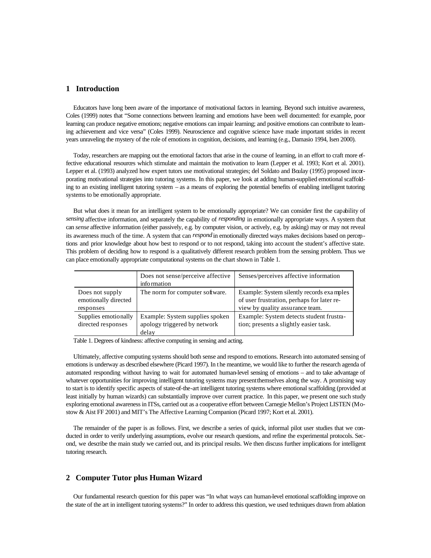# **1 Introduction**

Educators have long been aware of the importance of motivational factors in learning. Beyond such intuitive awareness, Coles (1999) notes that "Some connections between learning and emotions have been well documented: for example, poor learning can produce negative emotions; negative emotions can impair learning; and positive emotions can contribute to learning achievement and vice versa" (Coles 1999). Neuroscience and cognitive science have made important strides in recent years unraveling the mystery of the role of emotions in cognition, decisions, and learning (e.g., Damasio 1994, Isen 2000).

Today, researchers are mapping out the emotional factors that arise in the course of learning, in an effort to craft more effective educational resources which stimulate and maintain the motivation to learn (Lepper et al. 1993; Kort et al. 2001). Lepper et al. (1993) analyzed how expert tutors use motivational strategies; del Soldato and Boulay (1995) proposed incorporating motivational strategies into tutoring systems. In this paper, we look at adding human-supplied emotional scaffolding to an existing intelligent tutoring system – as a means of exploring the potential benefits of enabling intelligent tutoring systems to be emotionally appropriate.

But what does it mean for an intelligent system to be emotionally appropriate? We can consider first the capability of *sensing* affective information, and separately the capability of *responding* in emotionally appropriate ways. A system that can *sense* affective information (either passively, e.g. by computer vision, or actively, e.g. by asking) may or may not reveal its awareness much of the time. A system that can *respond* in emotionally directed ways makes decisions based on perceptions and prior knowledge about how best to respond or to not respond, taking into account the student's affective state. This problem of deciding how to respond is a qualitatively different research problem from the sensing problem. Thus we can place emotionally appropriate computational systems on the chart shown in Table 1.

|                                                      | Does not sense/perceive affective<br>information                         | Senses/perceives affective information                                                                                     |
|------------------------------------------------------|--------------------------------------------------------------------------|----------------------------------------------------------------------------------------------------------------------------|
| Does not supply<br>emotionally directed<br>responses | The norm for computer software.                                          | Example: System silently records examples<br>of user frustration, perhaps for later re-<br>view by quality assurance team. |
| Supplies emotionally<br>directed responses           | Example: System supplies spoken<br>apology triggered by network<br>delay | Example: System detects student frustra-<br>tion; presents a slightly easier task.                                         |

Table 1. Degrees of kindness: affective computing in sensing and acting.

Ultimately, affective computing systems should both sense and respond to emotions. Research into automated sensing of emotions is underway as described elsewhere (Picard 1997). In t he meantime, we would like to further the research agenda of automated responding without having to wait for automated human-level sensing of emotions – and to take advantage of whatever opportunities for improving intelligent tutoring systems may present themselves along the way. A promising way to start is to identify specific aspects of state-of-the-art intelligent tutoring systems where emotional scaffolding (provided at least initially by human wizards) can substantially improve over current practice. In this paper, we present one such study exploring emotional awareness in ITSs, carried out as a cooperative effort between Carnegie Mellon's Project LISTEN (Mostow & Aist FF 2001) and MIT's The Affective Learning Companion (Picard 1997; Kort et al. 2001).

The remainder of the paper is as follows. First, we describe a series of quick, informal pilot user studies that we conducted in order to verify underlying assumptions, evolve our research questions, and refine the experimental protocols. Second, we describe the main study we carried out, and its principal results. We then discuss further implications for intelligent tutoring research.

#### **2 Computer Tutor plus Human Wizard**

Our fundamental research question for this paper was "In what ways can human-level emotional scaffolding improve on the state of the art in intelligent tutoring systems?" In order to address this question, we used techniques drawn from ablation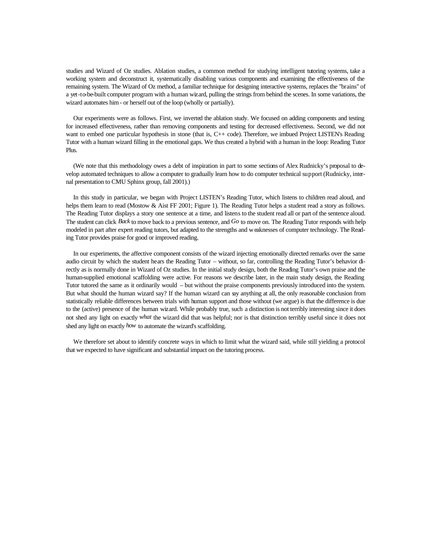studies and Wizard of Oz studies. Ablation studies, a common method for studying intelligent tutoring systems, take a working system and deconstruct it, systematically disabling various components and examining the effectiveness of the remaining system. The Wizard of Oz method, a familiar technique for designing interactive systems, replaces the "brains" of a yet-to-be-built computer program with a human wizard, pulling the strings from behind the scenes. In some variations, the wizard automates him- or herself out of the loop (wholly or partially).

Our experiments were as follows. First, we inverted the ablation study. We focused on adding components and testing for increased effectiveness, rather than removing components and testing for decreased effectiveness. Second, we did not want to embed one particular hypothesis in stone (that is, C++ code). Therefore, we imbued Project LISTEN's Reading Tutor with a human wizard filling in the emotional gaps. We thus created a hybrid with a human in the loop: Reading Tutor Plus.

(We note that this methodology owes a debt of inspiration in part to some sections of Alex Rudnicky's proposal to develop automated techniques to allow a computer to gradually learn how to do computer technical support (Rudnicky, internal presentation to CMU Sphinx group, fall 2001).)

In this study in particular, we began with Project LISTEN's Reading Tutor, which listens to children read aloud, and helps them learn to read (Mostow & Aist FF 2001; Figure 1). The Reading Tutor helps a student read a story as follows. The Reading Tutor displays a story one sentence at a time, and listens to the student read all or part of the sentence aloud. The student can click *Back* to move back to a previous sentence, and *Go* to move on. The Reading Tutor responds with help modeled in part after expert reading tutors, but adapted to the strengths and weaknesses of computer technology. The Reading Tutor provides praise for good or improved reading.

In our experiments, the affective component consists of the wizard injecting emotionally directed remarks over the same audio circuit by which the student hears the Reading Tutor – without, so far, controlling the Reading Tutor's behavior directly as is normally done in Wizard of Oz studies. In the initial study design, both the Reading Tutor's own praise and the human-supplied emotional scaffolding were active. For reasons we describe later, in the main study design, the Reading Tutor tutored the same as it ordinarily would – but without the praise components previously introduced into the system. But what should the human wizard say? If the human wizard can say anything at all, the only reasonable conclusion from statistically reliable differences between trials with human support and those without (we argue) is that the difference is due to the (active) presence of the human wizard. While probably true, such a distinction is not terribly interesting since it does not shed any light on exactly *what* the wizard did that was helpful; nor is that distinction terribly useful since it does not shed any light on exactly *how* to automate the wizard's scaffolding.

We therefore set about to identify concrete ways in which to limit what the wizard said, while still yielding a protocol that we expected to have significant and substantial impact on the tutoring process.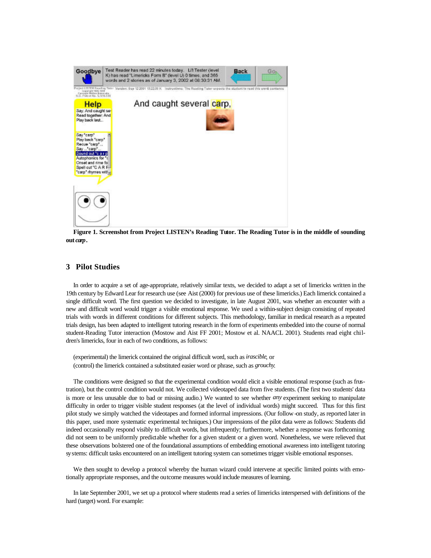

**Figure 1. Screenshot from Project LISTEN's Reading Tutor. The Reading Tutor is in the middle of sounding out** *carp***.**

# **3 Pilot Studies**

In order to acquire a set of age-appropriate, relatively similar texts, we decided to adapt a set of limericks written in the 19th century by Edward Lear for research use (see Aist (2000) for previous use of these limericks.) Each limerick contained a single difficult word. The first question we decided to investigate, in late August 2001, was whether an encounter with a new and difficult word would trigger a visible emotional response. We used a within-subject design consisting of repeated trials with words in different conditions for different subjects. This methodology, familiar in medical research as a repeated trials design, has been adapted to intelligent tutoring research in the form of experiments embedded into the course of normal student-Reading Tutor interaction (Mostow and Aist FF 2001; Mostow et al. NAACL 2001). Students read eight children's limericks, four in each of two conditions, as follows:

(experimental) the limerick contained the original difficult word, such as *irascible*, or (control) the limerick contained a substituted easier word or phrase, such as *grouchy*.

The conditions were designed so that the experimental condition would elicit a visible emotional response (such as frustration), but the control condition would not. We collected videotaped data from five students. (The first two students' data is more or less unusable due to bad or missing audio.) We wanted to see whether *any* experiment seeking to manipulate difficulty in order to trigger visible student responses (at the level of individual words) might succeed. Thus for this first pilot study we simply watched the videotapes and formed informal impressions. (Our follow-on study, as reported later in this paper, used more systematic experimental techniques.) Our impressions of the pilot data were as follows: Students did indeed occasionally respond visibly to difficult words, but infrequently; furthermore, whether a response was forthcoming did not seem to be uniformly predictable whether for a given student or a given word. Nonetheless, we were relieved that these observations bolstered one of the foundational assumptions of embedding emotional awareness into intelligent tutoring systems: difficult tasks encountered on an intelligent tutoring system can sometimes trigger visible emotional responses.

We then sought to develop a protocol whereby the human wizard could intervene at specific limited points with emotionally appropriate responses, and the outcome measures would include measures of learning.

In late September 2001, we set up a protocol where students read a series of limericks interspersed with definitions of the hard (target) word. For example: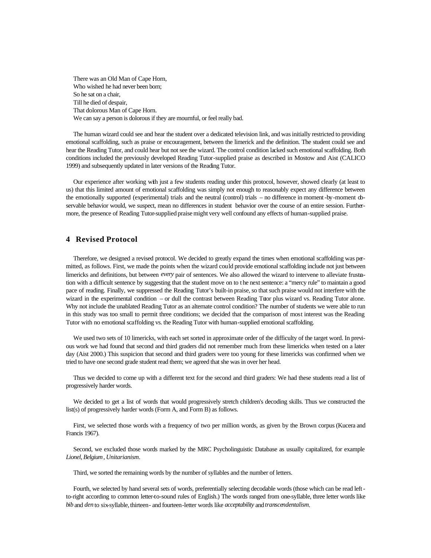There was an Old Man of Cape Horn, Who wished he had never been born; So he sat on a chair, Till he died of despair, That dolorous Man of Cape Horn. We can say a person is dolorous if they are mournful, or feel really bad.

The human wizard could see and hear the student over a dedicated television link, and was initially restricted to providing emotional scaffolding, such as praise or encouragement, between the limerick and the definition. The student could see and hear the Reading Tutor, and could hear but not see the wizard. The control condition lacked such emotional scaffolding. Both conditions included the previously developed Reading Tutor-supplied praise as described in Mostow and Aist (CALICO 1999) and subsequently updated in later versions of the Reading Tutor.

Our experience after working with just a few students reading under this protocol, however, showed clearly (at least to us) that this limited amount of emotional scaffolding was simply not enough to reasonably expect any difference between the emotionally supported (experimental) trials and the neutral (control) trials – no difference in moment-by-moment observable behavior would, we suspect, mean no differences in student behavior over the course of an entire session. Furthermore, the presence of Reading Tutor-supplied praise might very well confound any effects of human-supplied praise.

# **4 Revised Protocol**

Therefore, we designed a revised protocol. We decided to greatly expand the times when emotional scaffolding was permitted, as follows. First, we made the points when the wizard could provide emotional scaffolding include not just between limericks and definitions, but between *every* pair of sentences. We also allowed the wizard to intervene to alleviate frustration with a difficult sentence by suggesting that the student move on to t he next sentence: a "mercy rule" to maintain a good pace of reading. Finally, we suppressed the Reading Tutor's built-in praise, so that such praise would not interfere with the wizard in the experimental condition – or dull the contrast between Reading Tutor plus wizard vs. Reading Tutor alone. Why not include the unablated Reading Tutor as an alternate control condition? The number of students we were able to run in this study was too small to permit three conditions; we decided that the comparison of most interest was the Reading Tutor with no emotional scaffolding vs. the Reading Tutor with human-supplied emotional scaffolding.

We used two sets of 10 limericks, with each set sorted in approximate order of the difficulty of the target word. In previous work we had found that second and third graders did not remember much from these limericks when tested on a later day (Aist 2000.) This suspicion that second and third graders were too young for these limericks was confirmed when we tried to have one second grade student read them; we agreed that she was in over her head.

Thus we decided to come up with a different text for the second and third graders: We had these students read a list of progressively harder words.

We decided to get a list of words that would progressively stretch children's decoding skills. Thus we constructed the list(s) of progressively harder words (Form A, and Form B) as follows.

First, we selected those words with a frequency of two per million words, as given by the Brown corpus (Kucera and Francis 1967).

Second, we excluded those words marked by the MRC Psycholinguistic Database as usually capitalized, for example *Lionel*, *Belgium*, *Unitarianism*.

Third, we sorted the remaining words by the number of syllables and the number of letters.

Fourth, we selected by hand several sets of words, preferentially selecting decodable words (those which can be read leftto-right according to common letter-to-sound rules of English.) The words ranged from one-syllable, three letter words like *bib* and *den* to six-syllable, thirteen- and fourteen-letter words like *acceptability* and *transcendentalism*.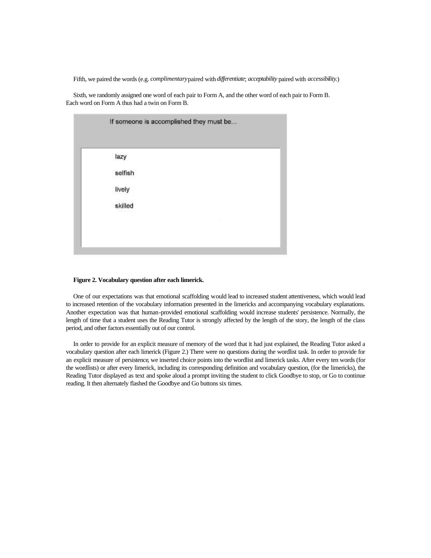Fifth, we paired the words (e.g. *complimentary* paired with *differentiate*; *acceptability* paired with *accessibility*.)

Sixth, we randomly assigned one word of each pair to Form A, and the other word of each pair to Form B. Each word on Form A thus had a twin on Form B.

| lazy    |  |
|---------|--|
| selfish |  |
| lively  |  |
| skilled |  |

#### **Figure 2. Vocabulary question after each limerick.**

One of our expectations was that emotional scaffolding would lead to increased student attentiveness, which would lead to increased retention of the vocabulary information presented in the limericks and accompanying vocabulary explanations. Another expectation was that human-provided emotional scaffolding would increase students' persistence. Normally, the length of time that a student uses the Reading Tutor is strongly affected by the length of the story, the length of the class period, and other factors essentially out of our control.

In order to provide for an explicit measure of memory of the word that it had just explained, the Reading Tutor asked a vocabulary question after each limerick (Figure 2.) There were no questions during the wordlist task. In order to provide for an explicit measure of persistence, we inserted choice points into the wordlist and limerick tasks. After every ten words (for the wordlists) or after every limerick, including its corresponding definition and vocabulary question, (for the limericks), the Reading Tutor displayed as text and spoke aloud a prompt inviting the student to click Goodbye to stop, or Go to continue reading. It then alternately flashed the Goodbye and Go buttons six times.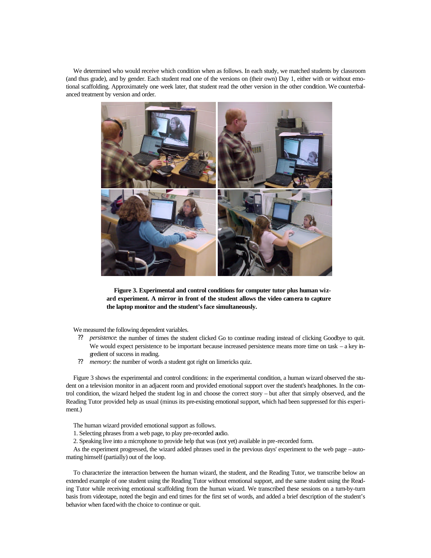We determined who would receive which condition when as follows. In each study, we matched students by classroom (and thus grade), and by gender. Each student read one of the versions on (their own) Day 1, either with or without emotional scaffolding. Approximately one week later, that student read the other version in the other condition. We counterbalanced treatment by version and order.



**Figure 3. Experimental and control conditions for computer tutor plus human wizard experiment. A mirror in front of the student allows the video camera to capture the laptop monitor and the student's face simultaneously.**

We measured the following dependent variables.

- ?? *persistence*: the number of times the student clicked Go to continue reading instead of clicking Goodbye to quit. We would expect persistence to be important because increased persistence means more time on task – a key ingredient of success in reading.
- ?? *memory*: the number of words a student got right on limericks quiz.

Figure 3 shows the experimental and control conditions: in the experimental condition, a human wizard observed the student on a television monitor in an adjacent room and provided emotional support over the student's headphones. In the control condition, the wizard helped the student log in and choose the correct story – but after that simply observed, and the Reading Tutor provided help as usual (minus its pre-existing emotional support, which had been suppressed for this experiment.)

The human wizard provided emotional support as follows.

1. Selecting phrases from a web page, to play pre-recorded audio.

2. Speaking live into a microphone to provide help that was (not yet) available in pre-recorded form.

As the experiment progressed, the wizard added phrases used in the previous days' experiment to the web page – automating himself (partially) out of the loop.

To characterize the interaction between the human wizard, the student, and the Reading Tutor, we transcribe below an extended example of one student using the Reading Tutor without emotional support, and the same student using the Reading Tutor while receiving emotional scaffolding from the human wizard. We transcribed these sessions on a turn-by-turn basis from videotape, noted the begin and end times for the first set of words, and added a brief description of the student's behavior when faced with the choice to continue or quit.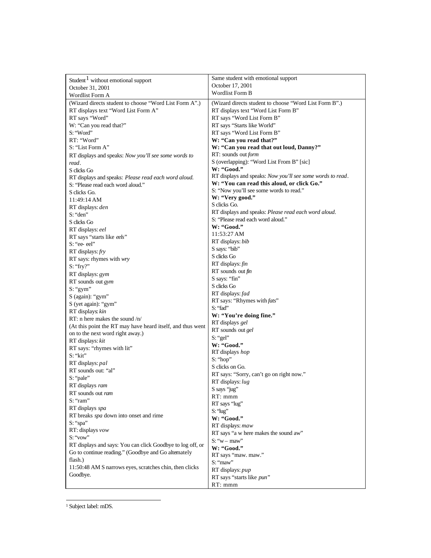| Student <sup>1</sup> without emotional support             | Same student with emotional support                        |  |  |  |  |
|------------------------------------------------------------|------------------------------------------------------------|--|--|--|--|
| October 31, 2001                                           | October 17, 2001                                           |  |  |  |  |
| Wordlist Form A                                            | Wordlist Form B                                            |  |  |  |  |
| (Wizard directs student to choose "Word List Form A".)     | (Wizard directs student to choose "Word List Form B".)     |  |  |  |  |
| RT displays text "Word List Form A"                        | RT displays text "Word List Form B"                        |  |  |  |  |
| RT says "Word"                                             | RT says "Word List Form B"                                 |  |  |  |  |
| W: "Can you read that?"                                    | RT says "Starts like World"                                |  |  |  |  |
| S: 'Word''                                                 | RT says "Word List Form B"                                 |  |  |  |  |
| RT: "Word"                                                 | W: "Can you read that?"                                    |  |  |  |  |
| S: "List Form A"                                           | W: "Can you read that out loud, Danny?"                    |  |  |  |  |
|                                                            | RT: sounds out form                                        |  |  |  |  |
| RT displays and speaks: Now you'll see some words to       | S (overlapping): "Word List From B" [sic]                  |  |  |  |  |
| read.<br>S clicks Go                                       | W: "Good."                                                 |  |  |  |  |
|                                                            | RT displays and speaks: Now you'll see some words to read. |  |  |  |  |
| RT displays and speaks: Please read each word aloud.       | W: "You can read this aloud, or click Go."                 |  |  |  |  |
| S: "Please read each word aloud."                          | S: "Now you'll see some words to read."                    |  |  |  |  |
| S clicks Go.                                               | W: "Very good."                                            |  |  |  |  |
| 11:49:14 AM                                                | S clicks Go.                                               |  |  |  |  |
| RT displays: den                                           | RT displays and speaks: Please read each word aloud.       |  |  |  |  |
| S: "den"                                                   | S: "Please read each word aloud."                          |  |  |  |  |
| S clicks Go                                                | W: "Good."                                                 |  |  |  |  |
| RT displays: eel                                           | 11:53:27 AM                                                |  |  |  |  |
| RT says "starts like eels"                                 | RT displays: bib                                           |  |  |  |  |
| S: "ee-eel"                                                | S says: "bib"                                              |  |  |  |  |
| RT displays: $fry$                                         | S clicks Go                                                |  |  |  |  |
| RT says: rhymes with $wry$                                 | RT displays: fin                                           |  |  |  |  |
| $S:$ "fry?"                                                | RT sounds out $\hat{m}$                                    |  |  |  |  |
| RT displays: $gym$                                         | S says: "fin"                                              |  |  |  |  |
| RT sounds out gym                                          | S clicks Go                                                |  |  |  |  |
| $S:$ "gym"                                                 | RT displays: fad                                           |  |  |  |  |
| S (again): "gym"                                           | RT says: "Rhymes with <i>fats</i> "                        |  |  |  |  |
| S (yet again): "gym"                                       | S: 'fad''                                                  |  |  |  |  |
| RT displays: kin                                           | W: "You're doing fine."                                    |  |  |  |  |
| RT: n here makes the sound $/n/$                           | RT displays gel                                            |  |  |  |  |
| (At this point the RT may have heard itself, and thus went | RT sounds out gel                                          |  |  |  |  |
| on to the next word right away.)                           | $S:$ "gel"                                                 |  |  |  |  |
| RT displays: kit                                           | W: "Good."                                                 |  |  |  |  |
| RT says: "rhymes with lit"                                 | RT displays hop                                            |  |  |  |  |
| S: "kit"                                                   | S: "hop"                                                   |  |  |  |  |
| RT displays: pal                                           | S clicks on Go.                                            |  |  |  |  |
| RT sounds out: "al"                                        | RT says: "Sorry, can't go on right now."                   |  |  |  |  |
| S: "pale"                                                  | RT displays: lug                                           |  |  |  |  |
| RT displays ram                                            |                                                            |  |  |  |  |
| RT sounds out ram                                          | S says "jug"<br>RT: mmm                                    |  |  |  |  |
| S: "ram"                                                   |                                                            |  |  |  |  |
| RT displays spa                                            | RT says "lug"<br>S: 'lug''                                 |  |  |  |  |
| RT breaks spa down into onset and rime                     | W: "Good."                                                 |  |  |  |  |
| S: "spa"                                                   |                                                            |  |  |  |  |
| RT: displays vow                                           | RT displays: maw                                           |  |  |  |  |
| S: "vow"                                                   | RT says "a w here makes the sound aw"                      |  |  |  |  |
| RT displays and says: You can click Goodbye to log off, or | $S: "w - maw"$                                             |  |  |  |  |
| Go to continue reading." (Goodbye and Go alternately       | W: "Good."                                                 |  |  |  |  |
| flash.)                                                    | RT says "maw. maw."                                        |  |  |  |  |
| 11:50:48 AM S narrows eyes, scratches chin, then clicks    | S: "maw"                                                   |  |  |  |  |
| Goodbye.                                                   | RT displays: pup                                           |  |  |  |  |
|                                                            | RT says "starts like pun"                                  |  |  |  |  |
|                                                            | RT: mmm                                                    |  |  |  |  |

1 Subject label: mDS.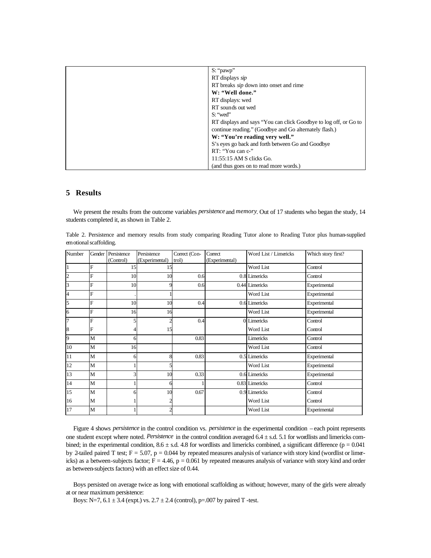| S: "pawp"                                                        |
|------------------------------------------------------------------|
| RT displays $\sin$                                               |
| RT breaks sip down into onset and rime                           |
| W: "Well done."                                                  |
| RT displays: wed                                                 |
| RT sounds out wed                                                |
| $S:$ "wed"                                                       |
| RT displays and says "You can click Goodbye to log off, or Go to |
| continue reading." (Goodbye and Go alternately flash.)           |
| W: "You're reading very well."                                   |
| S's eyes go back and forth between Go and Goodbye                |
| RT: "You can c-"                                                 |
| 11:55:15 AM S clicks Go.                                         |
| (and thus goes on to read more words.)                           |

# **5 Results**

We present the results from the outcome variables *persistence* and *memory*. Out of 17 students who began the study, 14 students completed it, as shown in Table 2.

| Table 2. Persistence and memory results from study comparing Reading Tutor alone to Reading Tutor plus human-supplied |  |  |  |  |  |  |  |  |
|-----------------------------------------------------------------------------------------------------------------------|--|--|--|--|--|--|--|--|
| em otional scaffolding.                                                                                               |  |  |  |  |  |  |  |  |

| Number         | Gender | Persistence    | Persistence    | Correct (Con- | Correct        | Word List / Limericks          | Which story first? |
|----------------|--------|----------------|----------------|---------------|----------------|--------------------------------|--------------------|
|                |        | (Control)      | (Experimental) | trol)         | (Experimental) |                                |                    |
| 1              | F      | 15             | 15             |               |                | Word List                      | Control            |
| $\overline{2}$ | F      | 10             | 10             | 0.6           |                | 0.8 Limericks                  | Control            |
| 3              | F      | 10             | 9              | 0.6           |                | 0.44 Limericks<br>Experimental |                    |
| $\overline{4}$ | F      |                |                |               |                | Experimental<br>Word List      |                    |
| 5              | F      | 10             | 10             | 0.4           |                | 0.6 Limericks                  | Experimental       |
| 6              | F      | 16             | 16             |               |                | Word List                      | Experimental       |
| $\overline{7}$ | F      | 5              |                | 0.4           |                | 0 Limericks<br>Control         |                    |
| 8              | F      |                | 15             |               |                | Word List                      | Control            |
| 9              | M      | 6              |                | 0.83          | Limericks      |                                | Control            |
| 10             | M      | 16             |                |               |                | Word List                      | Control            |
| 11             | M      | 6              | 8              | 0.83          |                | 0.5 Limericks                  | Experimental       |
| 12             | M      |                | 5              |               |                | Word List                      | Experimental       |
| 13             | M      | $\overline{3}$ | 10             | 0.33          |                | 0.6 Limericks                  | Experimental       |
| 14             | M      |                | 6              |               | 0.83 Limericks |                                | Control            |
| 15             | M      | 6              | 10             | 0.67          |                | 0.9 Limericks                  | Control            |
| 16             | M      |                |                |               |                | Word List                      | Control            |
| 17             | M      |                | $\mathfrak{D}$ |               |                | Word List                      | Experimental       |

Figure 4 shows *persistence* in the control condition vs. *persistence* in the experimental condition – each point represents one student except where noted. *Persistence* in the control condition averaged 6.4 ± s.d. 5.1 for wordlists and limericks combined; in the experimental condition,  $8.6 \pm s.d.$  4.8 for wordlists and limericks combined, a significant difference ( $p = 0.041$ ) by 2-tailed paired T test;  $F = 5.07$ ,  $p = 0.044$  by repeated measures analysis of variance with story kind (wordlist or limericks) as a between-subjects factor;  $F = 4.46$ ,  $p = 0.061$  by repeated measures analysis of variance with story kind and order as between-subjects factors) with an effect size of 0.44.

Boys persisted on average twice as long with emotional scaffolding as without; however, many of the girls were already at or near maximum persistence:

Boys: N=7,  $6.1 \pm 3.4$  (expt.) vs.  $2.7 \pm 2.4$  (control), p=.007 by paired T -test.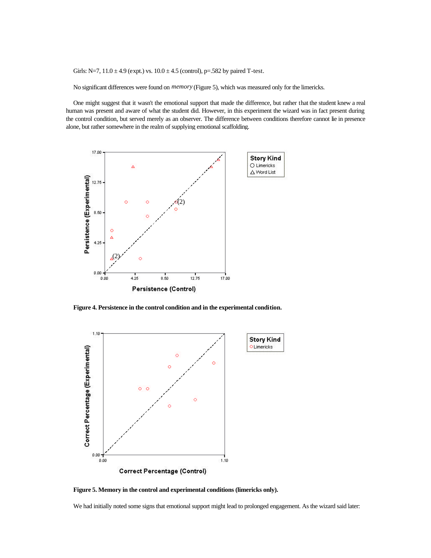Girls: N=7,  $11.0 \pm 4.9$  (expt.) vs.  $10.0 \pm 4.5$  (control), p=.582 by paired T-test.

No significant differences were found on *memory* (Figure 5), which was measured only for the limericks.

One might suggest that it wasn't the emotional support that made the difference, but rather that the student knew a real human was present and aware of what the student did. However, in this experiment the wizard was in fact present during the control condition, but served merely as an observer. The difference between conditions therefore cannot lie in presence alone, but rather somewhere in the realm of supplying emotional scaffolding.



**Figure 4. Persistence in the control condition and in the experimental condition.**



**Figure 5. Memory in the control and experimental conditions (limericks only).**

We had initially noted some signs that emotional support might lead to prolonged engagement. As the wizard said later: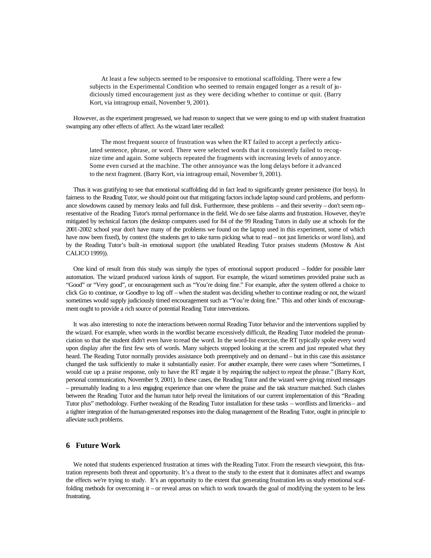At least a few subjects seemed to be responsive to emotional scaffolding. There were a few subjects in the Experimental Condition who seemed to remain engaged longer as a result of judiciously timed encouragement just as they were deciding whether to continue or quit. (Barry Kort, via intragroup email, November 9, 2001).

However, as the experiment progressed, we had reason to suspect that we were going to end up with student frustration swamping any other effects of affect. As the wizard later recalled:

The most frequent source of frustration was when the RT failed to accept a perfectly articulated sentence, phrase, or word. There were selected words that it consistently failed to recognize time and again. Some subjects repeated the fragments with increasing levels of annoyance. Some even cursed at the machine. The other annoyance was the long delays before it advanced to the next fragment. (Barry Kort, via intragroup email, November 9, 2001).

Thus it was gratifying to see that emotional scaffolding did in fact lead to significantly greater persistence (for boys). In fairness to the Reading Tutor, we should point out that mitigating factors include laptop sound card problems, and performance slowdowns caused by memory leaks and full disk. Furthermore, these problems – and their severity – don't seem representative of the Reading Tutor's normal performance in the field. We do see false alarms and frustration. However, they're mitigated by technical factors (the desktop computers used for 84 of the 99 Reading Tutors in daily use at schools for the 2001-2002 school year don't have many of the problems we found on the laptop used in this experiment, some of which have now been fixed), by context (the students get to take turns picking what to read – not just limericks or word lists), and by the Reading Tutor's built-in emotional support (the unablated Reading Tutor praises students (Mostow & Aist CALICO 1999)).

One kind of result from this study was simply the types of emotional support produced – fodder for possible later automation. The wizard produced various kinds of support. For example, the wizard sometimes provided praise such as "Good" or "Very good", or encouragement such as "You're doing fine." For example, after the system offered a choice to click Go to continue, or Goodbye to log off – when the student was deciding whether to continue reading or not, the wizard sometimes would supply judiciously timed encouragement such as "You're doing fine." This and other kinds of encouragement ought to provide a rich source of potential Reading Tutor interventions.

It was also interesting to note the interactions between normal Reading Tutor behavior and the interventions supplied by the wizard. For example, when words in the wordlist became excessively difficult, the Reading Tutor modeled the pronunciation so that the student didn't even have to read the word. In the word-list exercise, the RT typically spoke every word upon display after the first few sets of words. Many subjects stopped looking at the screen and just repeated what they heard. The Reading Tutor normally provides assistance both preemptively and on demand – but in this case this assistance changed the task sufficiently to make it substantially easier. For another example, there were cases where "Sometimes, I would cue up a praise response, only to have the RT regate it by requiring the subject to repeat the phrase." (Barry Kort, personal communication, November 9, 2001). In these cases, the Reading Tutor and the wizard were giving mixed messages – presumably leading to a less engaging experience than one where the praise and the task structure matched. Such clashes between the Reading Tutor and the human tutor help reveal the limitations of our current implementation of this "Reading Tutor plus" methodology. Further tweaking of the Reading Tutor installation for these tasks – wordlists and limericks – and a tighter integration of the human-generated responses into the dialog management of the Reading Tutor, ought in principle to alleviate such problems.

# **6 Future Work**

We noted that students experienced frustration at times with the Reading Tutor. From the research viewpoint, this frustration represents both threat and opportunity. It's a threat to the study to the extent that it dominates affect and swamps the effects we're trying to study. It's an opportunity to the extent that generating frustration lets us study emotional scaffolding methods for overcoming it – or reveal areas on which to work towards the goal of modifying the system to be less frustrating.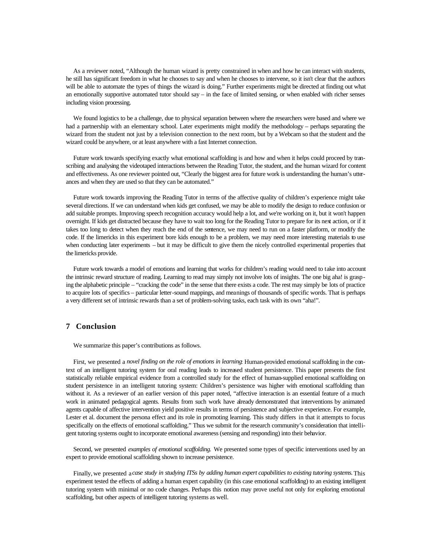As a reviewer noted, "Although the human wizard is pretty constrained in when and how he can interact with students, he still has significant freedom in what he chooses to say and when he chooses to intervene, so it isn't clear that the authors will be able to automate the types of things the wizard is doing." Further experiments might be directed at finding out what an emotionally supportive automated tutor should say – in the face of limited sensing, or when enabled with richer senses including vision processing.

We found logistics to be a challenge, due to physical separation between where the researchers were based and where we had a partnership with an elementary school. Later experiments might modify the methodology – perhaps separating the wizard from the student not just by a television connection to the next room, but by a Webcam so that the student and the wizard could be anywhere, or at least anywhere with a fast Internet connection.

Future work towards specifying exactly what emotional scaffolding is and how and when it helps could proceed by transcribing and analysing the videotaped interactions between the Reading Tutor, the student, and the human wizard for content and effectiveness. As one reviewer pointed out, "Clearly the biggest area for future work is understanding the human's utterances and when they are used so that they can be automated."

Future work towards improving the Reading Tutor in terms of the affective quality of children's experience might take several directions. If we can understand when kids get confused, we may be able to modify the design to reduce confusion or add suitable prompts. Improving speech recognition accuracy would help a lot, and we're working on it, but it won't happen overnight. If kids get distracted because they have to wait too long for the Reading Tutor to prepare for its next action, or if it takes too long to detect when they reach the end of the sentence, we may need to run on a faster platform, or modify the code. If the limericks in this experiment bore kids enough to be a problem, we may need more interesting materials to use when conducting later experiments – but it may be difficult to give them the nicely controlled experimental properties that the limericks provide.

Future work towards a model of emotions and learning that works for children's reading would need to take into account the intrinsic reward structure of reading. Learning to read may simply not involve lots of insights. The one big aha! is grasping the alphabetic principle – "cracking the code" in the sense that there exists a code. The rest may simply be lots of practice to acquire lots of specifics – particular letter-sound mappings, and meanings of thousands of specific words. That is perhaps a very different set of intrinsic rewards than a set of problem-solving tasks, each task with its own "aha!".

# **7 Conclusion**

We summarize this paper's contributions as follows.

First, we presented a *novel finding on the role of emotions in learning*: Human-provided emotional scaffolding in the context of an intelligent tutoring system for oral reading leads to increased student persistence. This paper presents the first statistically reliable empirical evidence from a controlled study for the effect of human-supplied emotional scaffolding on student persistence in an intelligent tutoring system: Children's persistence was higher with emotional scaffolding than without it. As a reviewer of an earlier version of this paper noted, "affective interaction is an essential feature of a much work in animated pedagogical agents. Results from such work have already demonstrated that interventions by animated agents capable of affective intervention yield positive results in terms of persistence and subjective experience. For example, Lester et al. document the persona effect and its role in promoting learning. This study differs in that it attempts to focus specifically on the effects of emotional scaffolding." Thus we submit for the research community's consideration that intelligent tutoring systems ought to incorporate emotional awareness (sensing and responding) into their behavior.

Second, we presented *examples of emotional scaffolding.* We presented some types of specific interventions used by an expert to provide emotional scaffolding shown to increase persistence.

Finally, we presented a *case study in studying ITSs by adding human expert capabilities to existing tutoring systems.* This experiment tested the effects of adding a human expert capability (in this case emotional scaffolding) to an existing intelligent tutoring system with minimal or no code changes. Perhaps this notion may prove useful not only for exploring emotional scaffolding, but other aspects of intelligent tutoring systems as well.